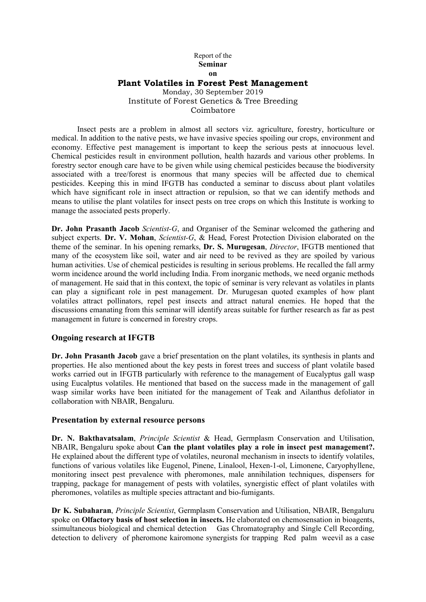### Report of the Seminar on Plant Volatiles in Forest Pest Management Monday, 30 September 2019 Institute of Forest Genetics & Tree Breeding Coimbatore

Insect pests are a problem in almost all sectors viz. agriculture, forestry, horticulture or medical. In addition to the native pests, we have invasive species spoiling our crops, environment and economy. Effective pest management is important to keep the serious pests at innocuous level. Chemical pesticides result in environment pollution, health hazards and various other problems. In forestry sector enough care have to be given while using chemical pesticides because the biodiversity associated with a tree/forest is enormous that many species will be affected due to chemical pesticides. Keeping this in mind IFGTB has conducted a seminar to discuss about plant volatiles which have significant role in insect attraction or repulsion, so that we can identify methods and means to utilise the plant volatiles for insect pests on tree crops on which this Institute is working to manage the associated pests properly.

Dr. John Prasanth Jacob *Scientist-G*, and Organiser of the Seminar welcomed the gathering and subject experts. Dr. V. Mohan, *Scientist-G*, & Head, Forest Protection Division elaborated on the theme of the seminar. In his opening remarks, Dr. S. Murugesan, *Director*, IFGTB mentioned that many of the ecosystem like soil, water and air need to be revived as they are spoiled by various human activities. Use of chemical pesticides is resulting in serious problems. He recalled the fall army worm incidence around the world including India. From inorganic methods, we need organic methods of management. He said that in this context, the topic of seminar is very relevant as volatiles in plants can play a significant role in pest management. Dr. Murugesan quoted examples of how plant volatiles attract pollinators, repel pest insects and attract natural enemies. He hoped that the discussions emanating from this seminar will identify areas suitable for further research as far as pest management in future is concerned in forestry crops.

### Ongoing research at IFGTB

Dr. John Prasanth Jacob gave a brief presentation on the plant volatiles, its synthesis in plants and properties. He also mentioned about the key pests in forest trees and success of plant volatile based works carried out in IFGTB particularly with reference to the management of Eucalyptus gall wasp using Eucalptus volatiles. He mentioned that based on the success made in the management of gall wasp similar works have been initiated for the management of Teak and Ailanthus defoliator in collaboration with NBAIR, Bengaluru.

### Presentation by external resource persons

Dr. N. Bakthavatsalam, *Principle Scientist* & Head, Germplasm Conservation and Utilisation, NBAIR, Bengaluru spoke about Can the plant volatiles play a role in insect pest management?. He explained about the different type of volatiles, neuronal mechanism in insects to identify volatiles, functions of various volatiles like Eugenol, Pinene, Linalool, Hexen-1-ol, Limonene, Caryophyllene, monitoring insect pest prevalence with pheromones, male annihilation techniques, dispensers for trapping, package for management of pests with volatiles, synergistic effect of plant volatiles with pheromones, volatiles as multiple species attractant and bio-fumigants.

Dr K. Subaharan, *Principle Scientist*, Germplasm Conservation and Utilisation, NBAIR, Bengaluru spoke on Olfactory basis of host selection in insects. He elaborated on chemosensation in bioagents, ssimultaneous biological and chemical detection Gas Chromatography and Single Cell Recording, detection to delivery of pheromone kairomone synergists for trapping Red palm weevil as a case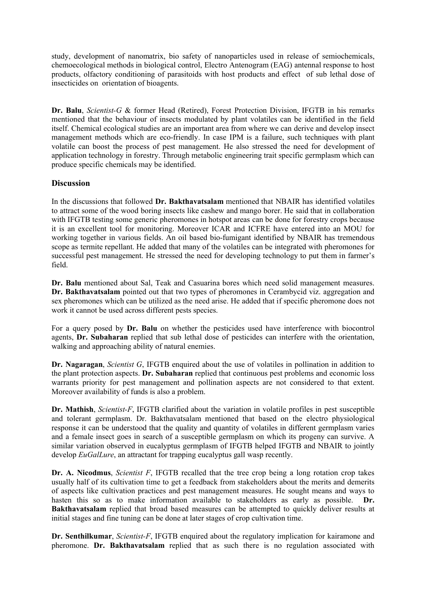study, development of nanomatrix, bio safety of nanoparticles used in release of semiochemicals, chemoecological methods in biological control, Electro Antenogram (EAG) antennal response to host products, olfactory conditioning of parasitoids with host products and effect of sub lethal dose of insecticides onorientation of bioagents.

Dr. Balu, *Scientist-G* & former Head (Retired), Forest Protection Division, IFGTB in his remarks mentioned that the behaviour of insects modulated by plant volatiles can be identified in the field itself. Chemical ecological studies are an important area from where we can derive and develop insect management methods which are eco-friendly. In case IPM is a failure, such techniques with plant volatile can boost the process of pest management. He also stressed the need for development of application technology in forestry. Through metabolic engineering trait specific germplasm which can produce specific chemicals may be identified.

# **Discussion**

In the discussions that followed Dr. Bakthavatsalam mentioned that NBAIR has identified volatiles to attract some of the wood boring insects like cashew and mango borer. He said that in collaboration with IFGTB testing some generic pheromones in hotspot areas can be done for forestry crops because it is an excellent tool for monitoring. Moreover ICAR and ICFRE have entered into an MOU for working together in various fields. An oil based bio-fumigant identified by NBAIR has tremendous scope as termite repellant. He added that many of the volatiles can be integrated with pheromones for successful pest management. He stressed the need for developing technology to put them in farmer's field.

Dr. Balu mentioned about Sal, Teak and Casuarina bores which need solid management measures. Dr. Bakthavatsalam pointed out that two types of pheromones in Cerambycid viz. aggregation and sex pheromones which can be utilized as the need arise. He added that if specific pheromone does not work it cannot be used across different pests species.

For a query posed by Dr. Balu on whether the pesticides used have interference with biocontrol agents, Dr. Subaharan replied that sub lethal dose of pesticides can interfere with the orientation, walking and approaching ability of natural enemies.

Dr. Nagaragan, *Scientist G*, IFGTB enquired about the use of volatiles in pollination in addition to the plant protection aspects. Dr. Subaharan replied that continuous pest problems and economic loss warrants priority for pest management and pollination aspects are not considered to that extent. Moreover availability of funds is also a problem.

Dr. Mathish, *Scientist-F*, IFGTB clarified about the variation in volatile profiles in pest susceptible and tolerant germplasm. Dr. Bakthavatsalam mentioned that based on the electro physiological response it can be understood that the quality and quantity of volatiles in different germplasm varies and a female insect goes in search of a susceptible germplasm on which its progeny can survive. A similar variation observed in eucalyptus germplasm of IFGTB helped IFGTB and NBAIR to jointly develop *EuGalLure*, an attractant for trapping eucalyptus gall wasp recently.

Dr. A. Nicodmus, *Scientist F*, IFGTB recalled that the tree crop being a long rotation crop takes usually half of its cultivation time to get a feedback from stakeholders about the merits and demerits of aspects like cultivation practices and pest management measures. He sought means and ways to hasten this so as to make information available to stakeholders as early as possible. Dr. Bakthavatsalam replied that broad based measures can be attempted to quickly deliver results at initial stages and fine tuning can be done at later stages of crop cultivation time.

Dr. Senthilkumar, *Scientist-F*, IFGTB enquired about the regulatory implication for kairamone and pheromone. Dr. Bakthavatsalam replied that as such there is no regulation associated with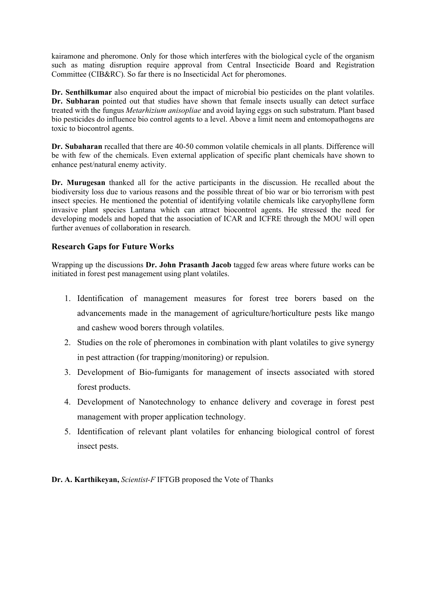kairamone and pheromone. Only for those which interferes with the biological cycle of the organism such as mating disruption require approval from Central Insecticide Board and Registration Committee (CIB&RC). So far there is no Insecticidal Act for pheromones.

Dr. Senthilkumar also enquired about the impact of microbial bio pesticides on the plant volatiles. Dr. Subharan pointed out that studies have shown that female insects usually can detect surface treated with the fungus *Metarhizium anisopliae* and avoid laying eggs on such substratum. Plant based bio pesticides do influence bio control agents to a level. Above a limit neem and entomopathogens are toxic to biocontrol agents.

Dr. Subaharan recalled that there are 40-50 common volatile chemicals in all plants. Difference will be with few of the chemicals. Even external application of specific plant chemicals have shown to enhance pest/natural enemy activity.

Dr. Murugesan thanked all for the active participants in the discussion. He recalled about the biodiversity loss due to various reasons and the possible threat of bio war or bio terrorism with pest insect species. He mentioned the potential of identifying volatile chemicals like caryophyllene form invasive plant species Lantana which can attract biocontrol agents. He stressed the need for developing models and hoped that the association of ICAR and ICFRE through the MOU will open further avenues of collaboration in research.

# Research Gaps for Future Works

Wrapping up the discussions **Dr. John Prasanth Jacob** tagged few areas where future works can be initiated in forest pest management using plant volatiles.

- 1. Identification of management measures for forest tree borers based on the advancements made in the management of agriculture/horticulture pests like mango and cashew wood borers through volatiles.
- 2. Studies on the role of pheromones in combination with plant volatiles to give synergy in pest attraction (for trapping/monitoring) or repulsion.
- 3. Development of Bio-fumigants for management of insects associated with stored forest products.
- 4. Development of Nanotechnology to enhance delivery and coverage in forest pest management with proper application technology.
- 5. Identification of relevant plant volatiles for enhancing biological control of forest insect pests.

Dr. A. Karthikeyan, *Scientist-F* IFTGB proposed the Vote of Thanks